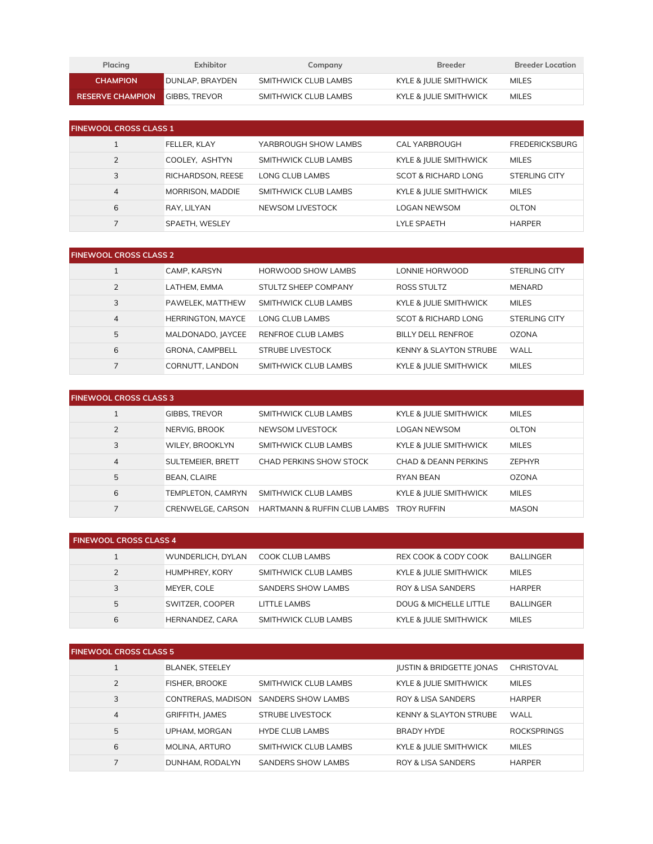| Placing                               | Exhibitor                | Company              | <b>Breeder</b>         | <b>Breeder Location</b> |
|---------------------------------------|--------------------------|----------------------|------------------------|-------------------------|
| <b>CHAMPION</b>                       | <b>I</b> DUNLAP. BRAYDEN | SMITHWICK CLUB LAMBS | KYLE & IULIE SMITHWICK | <b>MILES</b>            |
| <b>RESERVE CHAMPION GIBBS. TREVOR</b> |                          | SMITHWICK CLUB LAMBS | KYLE & JULIE SMITHWICK | MILES                   |

| <b>FINEWOOL CROSS CLASS 1</b> |                   |                      |                        |                       |  |
|-------------------------------|-------------------|----------------------|------------------------|-----------------------|--|
|                               | FELLER. KLAY      | YARBROUGH SHOW LAMBS | CAL YARBROUGH          | <b>FREDERICKSBURG</b> |  |
| 2                             | COOLEY, ASHTYN    | SMITHWICK CLUB LAMBS | KYLE & JULIE SMITHWICK | <b>MILES</b>          |  |
| 3                             | RICHARDSON, REESE | LONG CLUB LAMBS      | SCOT & RICHARD LONG    | STERLING CITY         |  |
| $\overline{4}$                | MORRISON, MADDIE  | SMITHWICK CLUB LAMBS | KYLE & JULIE SMITHWICK | <b>MILES</b>          |  |
| 6                             | RAY. LILYAN       | NEWSOM LIVESTOCK     | <b>LOGAN NEWSOM</b>    | OLTON                 |  |
|                               | SPAETH, WESLEY    |                      | <b>LYLE SPAETH</b>     | <b>HARPER</b>         |  |

| <b>FINEWOOL CROSS CLASS 2</b> |                          |                           |                                   |               |  |
|-------------------------------|--------------------------|---------------------------|-----------------------------------|---------------|--|
|                               | CAMP. KARSYN             | HORWOOD SHOW LAMBS        | LONNIE HORWOOD                    | STERLING CITY |  |
| $\overline{2}$                | LATHEM, EMMA             | STULTZ SHEEP COMPANY      | ROSS STULTZ                       | <b>MENARD</b> |  |
| 3                             | PAWELEK, MATTHEW         | SMITHWICK CLUB LAMBS      | KYLE & JULIE SMITHWICK            | <b>MILES</b>  |  |
| $\overline{4}$                | <b>HERRINGTON, MAYCE</b> | LONG CLUB LAMBS           | SCOT & RICHARD LONG               | STERLING CITY |  |
| 5                             | MALDONADO, JAYCEE        | <b>RENFROE CLUB LAMBS</b> | <b>BILLY DELL RENFROE</b>         | <b>OZONA</b>  |  |
| 6                             | <b>GRONA, CAMPBELL</b>   | STRUBE LIVESTOCK          | <b>KENNY &amp; SLAYTON STRUBE</b> | WALL          |  |
|                               | CORNUTT, LANDON          | SMITHWICK CLUB LAMBS      | KYLE & JULIE SMITHWICK            | <b>MILES</b>  |  |

| <b>FINEWOOL CROSS CLASS 3</b> |                      |                              |                        |               |  |
|-------------------------------|----------------------|------------------------------|------------------------|---------------|--|
|                               | <b>GIBBS, TREVOR</b> | SMITHWICK CLUB LAMBS         | KYLE & JULIE SMITHWICK | <b>MILES</b>  |  |
| 2                             | NERVIG. BROOK        | NEWSOM LIVESTOCK             | <b>LOGAN NEWSOM</b>    | OLTON         |  |
| 3                             | WILEY, BROOKLYN      | SMITHWICK CLUB LAMBS         | KYLE & JULIE SMITHWICK | <b>MILES</b>  |  |
| $\overline{4}$                | SULTEMEIER, BRETT    | CHAD PERKINS SHOW STOCK      | CHAD & DEANN PERKINS   | <b>ZEPHYR</b> |  |
| 5                             | <b>BEAN, CLAIRE</b>  |                              | <b>RYAN BEAN</b>       | <b>OZONA</b>  |  |
| 6                             | TEMPLETON, CAMRYN    | SMITHWICK CLUB LAMBS         | KYLE & JULIE SMITHWICK | <b>MILES</b>  |  |
|                               | CRENWELGE, CARSON    | HARTMANN & RUFFIN CLUB LAMBS | <b>TROY RUFFIN</b>     | MASON         |  |

| <b>FINEWOOL CROSS CLASS 4</b> |                        |                           |                        |                  |  |
|-------------------------------|------------------------|---------------------------|------------------------|------------------|--|
|                               | WUNDERLICH, DYLAN      | COOK CLUB LAMBS           | REX COOK & CODY COOK   | <b>BALLINGER</b> |  |
| 2                             | <b>HUMPHREY, KORY</b>  | SMITHWICK CLUB LAMBS      | KYLE & JULIE SMITHWICK | <b>MILES</b>     |  |
| 3                             | MEYER, COLE            | <b>SANDERS SHOW LAMBS</b> | ROY & LISA SANDERS     | <b>HARPER</b>    |  |
| 5                             | SWITZER, COOPER        | LITTLE LAMBS              | DOUG & MICHELLE LITTLE | <b>BALLINGER</b> |  |
| 6                             | <b>HERNANDEZ, CARA</b> | SMITHWICK CLUB LAMBS      | KYLE & JULIE SMITHWICK | <b>MILES</b>     |  |

| <b>FINEWOOL CROSS CLASS 5</b> |                        |                        |                                     |                    |  |
|-------------------------------|------------------------|------------------------|-------------------------------------|--------------------|--|
|                               | <b>BLANEK, STEELEY</b> |                        | <b>IUSTIN &amp; BRIDGETTE JONAS</b> | <b>CHRISTOVAL</b>  |  |
| $\overline{2}$                | <b>FISHER, BROOKE</b>  | SMITHWICK CLUB LAMBS   | KYLE & JULIE SMITHWICK              | <b>MILES</b>       |  |
| 3                             | CONTRERAS, MADISON     | SANDERS SHOW LAMBS     | <b>ROY &amp; LISA SANDERS</b>       | <b>HARPER</b>      |  |
| $\overline{4}$                | GRIFFITH, JAMES        | STRUBE LIVESTOCK       | <b>KENNY &amp; SLAYTON STRUBE</b>   | WALL               |  |
| 5                             | UPHAM, MORGAN          | <b>HYDE CLUB LAMBS</b> | BRADY HYDE                          | <b>ROCKSPRINGS</b> |  |
| 6                             | MOLINA, ARTURO         | SMITHWICK CLUB LAMBS   | KYLE & JULIE SMITHWICK              | <b>MILES</b>       |  |
|                               | DUNHAM, RODALYN        | SANDERS SHOW LAMBS     | <b>ROY &amp; LISA SANDERS</b>       | <b>HARPER</b>      |  |